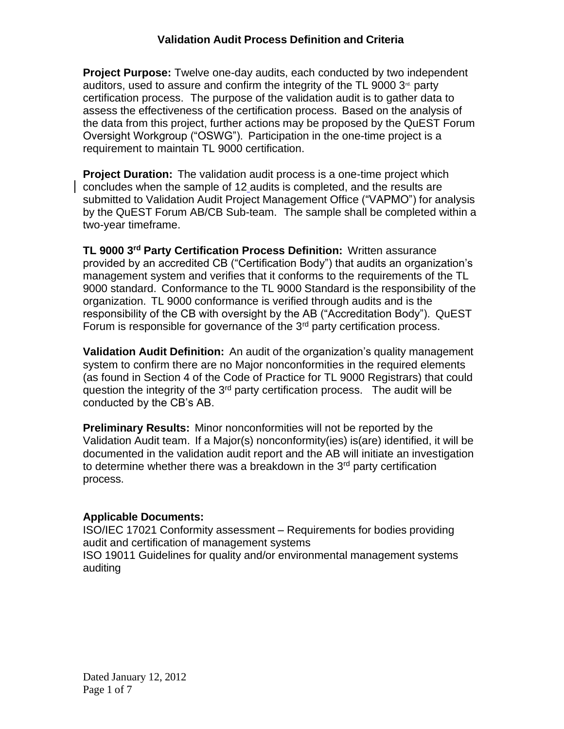**Project Purpose:** Twelve one-day audits, each conducted by two independent auditors, used to assure and confirm the integrity of the TL 9000  $3<sup>d</sup>$  party certification process. The purpose of the validation audit is to gather data to assess the effectiveness of the certification process. Based on the analysis of the data from this project, further actions may be proposed by the QuEST Forum Oversight Workgroup ("OSWG"). Participation in the one-time project is a requirement to maintain TL 9000 certification.

**Project Duration:** The validation audit process is a one-time project which concludes when the sample of 12 audits is completed, and the results are submitted to Validation Audit Project Management Office ("VAPMO") for analysis by the QuEST Forum AB/CB Sub-team. The sample shall be completed within a two-year timeframe.

**TL 9000 3rd Party Certification Process Definition:** Written assurance provided by an accredited CB ("Certification Body") that audits an organization's management system and verifies that it conforms to the requirements of the TL 9000 standard. Conformance to the TL 9000 Standard is the responsibility of the organization. TL 9000 conformance is verified through audits and is the responsibility of the CB with oversight by the AB ("Accreditation Body"). QuEST Forum is responsible for governance of the  $3<sup>rd</sup>$  party certification process.

**Validation Audit Definition:** An audit of the organization's quality management system to confirm there are no Major nonconformities in the required elements (as found in Section 4 of the Code of Practice for TL 9000 Registrars) that could question the integrity of the 3<sup>rd</sup> party certification process. The audit will be conducted by the CB's AB.

**Preliminary Results:** Minor nonconformities will not be reported by the Validation Audit team. If a Major(s) nonconformity(ies) is(are) identified, it will be documented in the validation audit report and the AB will initiate an investigation to determine whether there was a breakdown in the  $3<sup>rd</sup>$  party certification process.

### **Applicable Documents:**

auditing

ISO/IEC 17021 Conformity assessment – Requirements for bodies providing audit and certification of management systems ISO 19011 Guidelines for quality and/or environmental management systems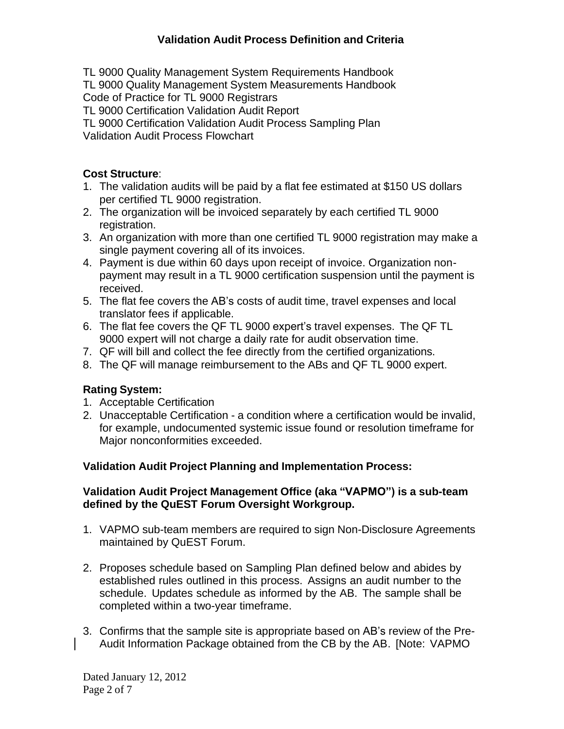TL 9000 Quality Management System Requirements Handbook

TL 9000 Quality Management System Measurements Handbook

Code of Practice for TL 9000 Registrars

TL 9000 Certification Validation Audit Report

TL 9000 Certification Validation Audit Process Sampling Plan

Validation Audit Process Flowchart

# **Cost Structure**:

- 1. The validation audits will be paid by a flat fee estimated at \$150 US dollars per certified TL 9000 registration.
- 2. The organization will be invoiced separately by each certified TL 9000 registration.
- 3. An organization with more than one certified TL 9000 registration may make a single payment covering all of its invoices.
- 4. Payment is due within 60 days upon receipt of invoice. Organization nonpayment may result in a TL 9000 certification suspension until the payment is received.
- 5. The flat fee covers the AB's costs of audit time, travel expenses and local translator fees if applicable.
- 6. The flat fee covers the QF TL 9000 expert's travel expenses. The QF TL 9000 expert will not charge a daily rate for audit observation time.
- 7. QF will bill and collect the fee directly from the certified organizations.
- 8. The QF will manage reimbursement to the ABs and QF TL 9000 expert.

# **Rating System:**

- 1. Acceptable Certification
- 2. Unacceptable Certification a condition where a certification would be invalid, for example, undocumented systemic issue found or resolution timeframe for Major nonconformities exceeded.

# **Validation Audit Project Planning and Implementation Process:**

### **Validation Audit Project Management Office (aka "VAPMO") is a sub-team defined by the QuEST Forum Oversight Workgroup.**

- 1. VAPMO sub-team members are required to sign Non-Disclosure Agreements maintained by QuEST Forum.
- 2. Proposes schedule based on Sampling Plan defined below and abides by established rules outlined in this process. Assigns an audit number to the schedule. Updates schedule as informed by the AB. The sample shall be completed within a two-year timeframe.
- 3. Confirms that the sample site is appropriate based on AB's review of the Pre-Audit Information Package obtained from the CB by the AB. [Note: VAPMO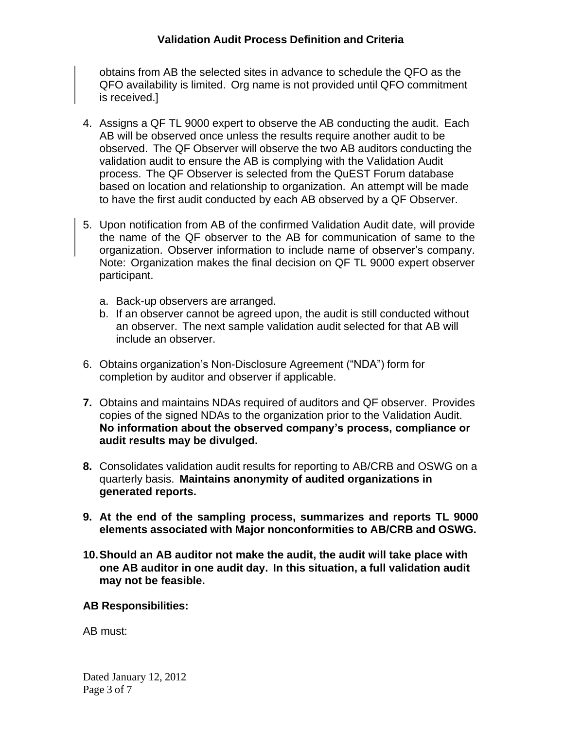### **Validation Audit Process Definition and Criteria**

obtains from AB the selected sites in advance to schedule the QFO as the QFO availability is limited. Org name is not provided until QFO commitment is received.]

- 4. Assigns a QF TL 9000 expert to observe the AB conducting the audit. Each AB will be observed once unless the results require another audit to be observed. The QF Observer will observe the two AB auditors conducting the validation audit to ensure the AB is complying with the Validation Audit process. The QF Observer is selected from the QuEST Forum database based on location and relationship to organization. An attempt will be made to have the first audit conducted by each AB observed by a QF Observer.
- 5. Upon notification from AB of the confirmed Validation Audit date, will provide the name of the QF observer to the AB for communication of same to the organization. Observer information to include name of observer's company. Note: Organization makes the final decision on QF TL 9000 expert observer participant.
	- a. Back-up observers are arranged.
	- b. If an observer cannot be agreed upon, the audit is still conducted without an observer. The next sample validation audit selected for that AB will include an observer.
- 6. Obtains organization's Non-Disclosure Agreement ("NDA") form for completion by auditor and observer if applicable.
- **7.** Obtains and maintains NDAs required of auditors and QF observer. Provides copies of the signed NDAs to the organization prior to the Validation Audit. **No information about the observed company's process, compliance or audit results may be divulged.**
- **8.** Consolidates validation audit results for reporting to AB/CRB and OSWG on a quarterly basis. **Maintains anonymity of audited organizations in generated reports.**
- **9. At the end of the sampling process, summarizes and reports TL 9000 elements associated with Major nonconformities to AB/CRB and OSWG.**
- **10.Should an AB auditor not make the audit, the audit will take place with one AB auditor in one audit day. In this situation, a full validation audit may not be feasible.**

#### **AB Responsibilities:**

AB must: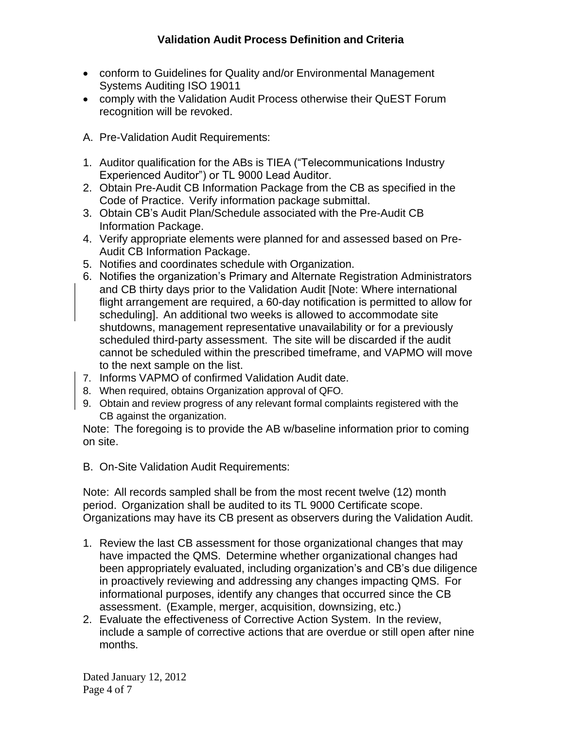- conform to Guidelines for Quality and/or Environmental Management Systems Auditing ISO 19011
- comply with the Validation Audit Process otherwise their QuEST Forum recognition will be revoked.
- A. Pre-Validation Audit Requirements:
- 1. Auditor qualification for the ABs is TIEA ("Telecommunications Industry Experienced Auditor") or TL 9000 Lead Auditor.
- 2. Obtain Pre-Audit CB Information Package from the CB as specified in the Code of Practice. Verify information package submittal.
- 3. Obtain CB's Audit Plan/Schedule associated with the Pre-Audit CB Information Package.
- 4. Verify appropriate elements were planned for and assessed based on Pre-Audit CB Information Package.
- 5. Notifies and coordinates schedule with Organization.
- 6. Notifies the organization's Primary and Alternate Registration Administrators and CB thirty days prior to the Validation Audit [Note: Where international flight arrangement are required, a 60-day notification is permitted to allow for scheduling]. An additional two weeks is allowed to accommodate site shutdowns, management representative unavailability or for a previously scheduled third-party assessment. The site will be discarded if the audit cannot be scheduled within the prescribed timeframe, and VAPMO will move to the next sample on the list.
- 7. Informs VAPMO of confirmed Validation Audit date.
- 8. When required, obtains Organization approval of QFO.
- 9. Obtain and review progress of any relevant formal complaints registered with the CB against the organization.

Note: The foregoing is to provide the AB w/baseline information prior to coming on site.

B. On-Site Validation Audit Requirements:

Note: All records sampled shall be from the most recent twelve (12) month period. Organization shall be audited to its TL 9000 Certificate scope. Organizations may have its CB present as observers during the Validation Audit.

- 1. Review the last CB assessment for those organizational changes that may have impacted the QMS. Determine whether organizational changes had been appropriately evaluated, including organization's and CB's due diligence in proactively reviewing and addressing any changes impacting QMS. For informational purposes, identify any changes that occurred since the CB assessment. (Example, merger, acquisition, downsizing, etc.)
- 2. Evaluate the effectiveness of Corrective Action System. In the review, include a sample of corrective actions that are overdue or still open after nine months.

Dated January 12, 2012 Page 4 of 7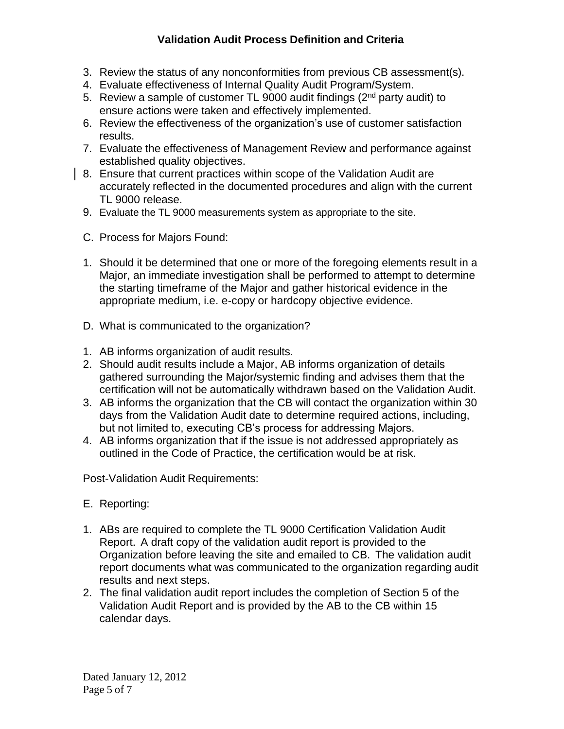# **Validation Audit Process Definition and Criteria**

- 3. Review the status of any nonconformities from previous CB assessment(s).
- 4. Evaluate effectiveness of Internal Quality Audit Program/System.
- 5. Review a sample of customer TL 9000 audit findings  $(2<sup>nd</sup>$  party audit) to ensure actions were taken and effectively implemented.
- 6. Review the effectiveness of the organization's use of customer satisfaction results.
- 7. Evaluate the effectiveness of Management Review and performance against established quality objectives.
- 8. Ensure that current practices within scope of the Validation Audit are accurately reflected in the documented procedures and align with the current TL 9000 release.
- 9. Evaluate the TL 9000 measurements system as appropriate to the site.
- C. Process for Majors Found:
- 1. Should it be determined that one or more of the foregoing elements result in a Major, an immediate investigation shall be performed to attempt to determine the starting timeframe of the Major and gather historical evidence in the appropriate medium, i.e. e-copy or hardcopy objective evidence.
- D. What is communicated to the organization?
- 1. AB informs organization of audit results.
- 2. Should audit results include a Major, AB informs organization of details gathered surrounding the Major/systemic finding and advises them that the certification will not be automatically withdrawn based on the Validation Audit.
- 3. AB informs the organization that the CB will contact the organization within 30 days from the Validation Audit date to determine required actions, including, but not limited to, executing CB's process for addressing Majors.
- 4. AB informs organization that if the issue is not addressed appropriately as outlined in the Code of Practice, the certification would be at risk.

Post-Validation Audit Requirements:

- E. Reporting:
- 1. ABs are required to complete the TL 9000 Certification Validation Audit Report. A draft copy of the validation audit report is provided to the Organization before leaving the site and emailed to CB. The validation audit report documents what was communicated to the organization regarding audit results and next steps.
- 2. The final validation audit report includes the completion of Section 5 of the Validation Audit Report and is provided by the AB to the CB within 15 calendar days.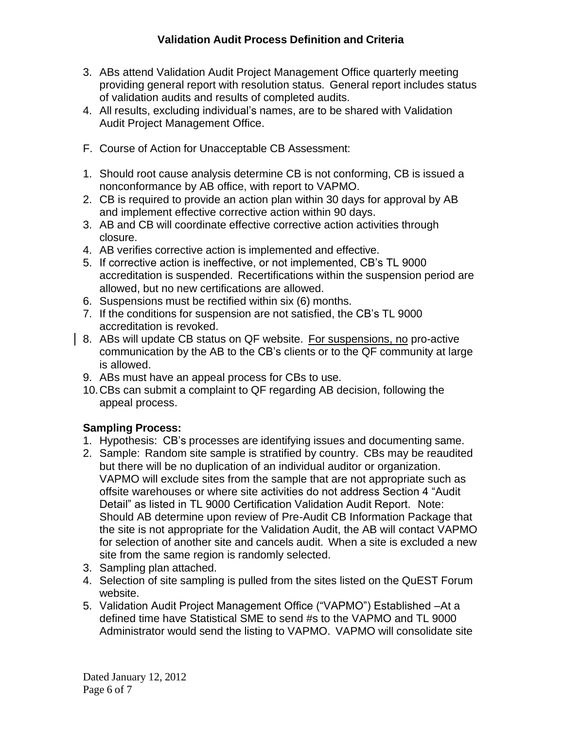- 3. ABs attend Validation Audit Project Management Office quarterly meeting providing general report with resolution status. General report includes status of validation audits and results of completed audits.
- 4. All results, excluding individual's names, are to be shared with Validation Audit Project Management Office.
- F. Course of Action for Unacceptable CB Assessment:
- 1. Should root cause analysis determine CB is not conforming, CB is issued a nonconformance by AB office, with report to VAPMO.
- 2. CB is required to provide an action plan within 30 days for approval by AB and implement effective corrective action within 90 days.
- 3. AB and CB will coordinate effective corrective action activities through closure.
- 4. AB verifies corrective action is implemented and effective.
- 5. If corrective action is ineffective, or not implemented, CB's TL 9000 accreditation is suspended. Recertifications within the suspension period are allowed, but no new certifications are allowed.
- 6. Suspensions must be rectified within six (6) months.
- 7. If the conditions for suspension are not satisfied, the CB's TL 9000 accreditation is revoked.
- 8. ABs will update CB status on QF website. For suspensions, no pro-active communication by the AB to the CB's clients or to the QF community at large is allowed.
- 9. ABs must have an appeal process for CBs to use.
- 10.CBs can submit a complaint to QF regarding AB decision, following the appeal process.

# **Sampling Process:**

- 1. Hypothesis: CB's processes are identifying issues and documenting same.
- 2. Sample: Random site sample is stratified by country. CBs may be reaudited but there will be no duplication of an individual auditor or organization. VAPMO will exclude sites from the sample that are not appropriate such as offsite warehouses or where site activities do not address Section 4 "Audit Detail" as listed in TL 9000 Certification Validation Audit Report. Note: Should AB determine upon review of Pre-Audit CB Information Package that the site is not appropriate for the Validation Audit, the AB will contact VAPMO for selection of another site and cancels audit. When a site is excluded a new site from the same region is randomly selected.
- 3. Sampling plan attached.
- 4. Selection of site sampling is pulled from the sites listed on the QuEST Forum website.
- 5. Validation Audit Project Management Office ("VAPMO") Established –At a defined time have Statistical SME to send #s to the VAPMO and TL 9000 Administrator would send the listing to VAPMO. VAPMO will consolidate site